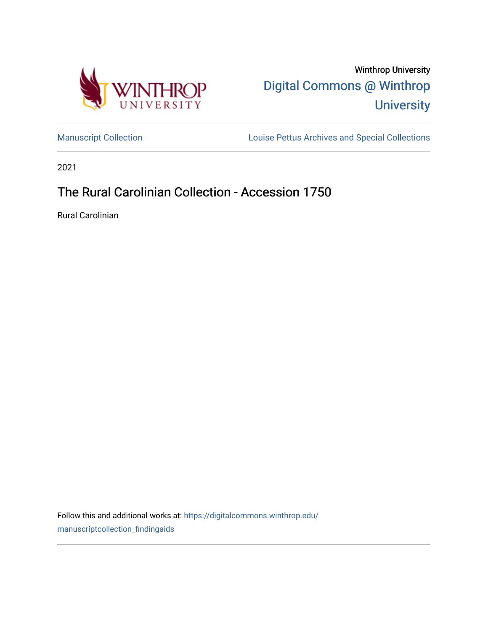

Winthrop University [Digital Commons @ Winthrop](https://digitalcommons.winthrop.edu/)  **University** 

[Manuscript Collection](https://digitalcommons.winthrop.edu/manuscriptcollection_findingaids) **Louise Pettus Archives and Special Collections** 

2021

# The Rural Carolinian Collection - Accession 1750

Rural Carolinian

Follow this and additional works at: [https://digitalcommons.winthrop.edu/](https://digitalcommons.winthrop.edu/manuscriptcollection_findingaids?utm_source=digitalcommons.winthrop.edu%2Fmanuscriptcollection_findingaids%2F1253&utm_medium=PDF&utm_campaign=PDFCoverPages) [manuscriptcollection\\_findingaids](https://digitalcommons.winthrop.edu/manuscriptcollection_findingaids?utm_source=digitalcommons.winthrop.edu%2Fmanuscriptcollection_findingaids%2F1253&utm_medium=PDF&utm_campaign=PDFCoverPages)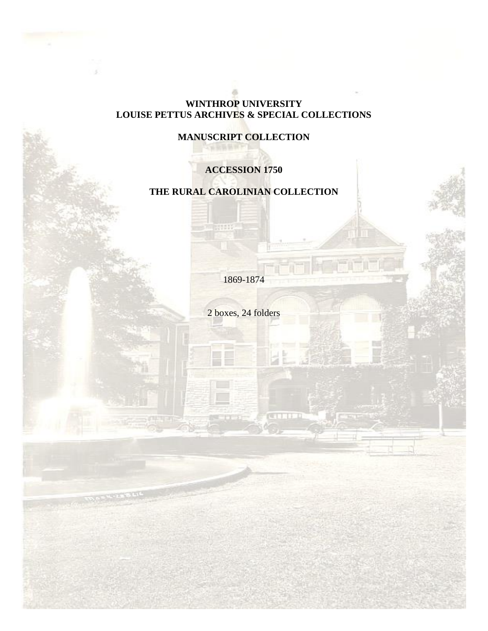## **WINTHROP UNIVERSITY LOUISE PETTUS ARCHIVES & SPECIAL COLLECTIONS**

## **MANUSCRIPT COLLECTION**

## **ACCESSION 1750**

## **THE RURAL CAROLINIAN COLLECTION**

1869-1874

2 boxes, 24 folders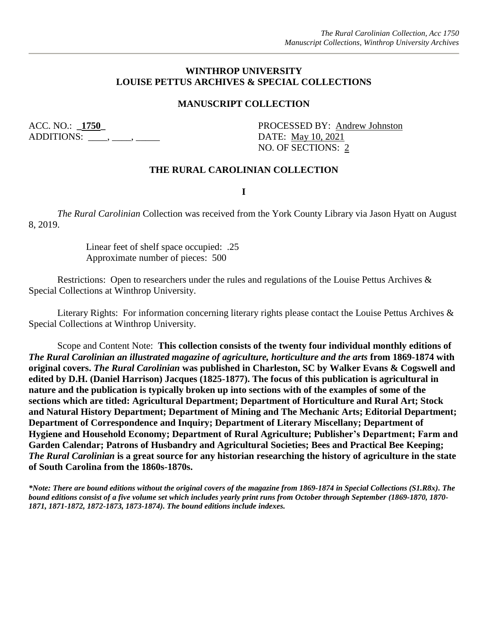#### **WINTHROP UNIVERSITY LOUISE PETTUS ARCHIVES & SPECIAL COLLECTIONS**

#### **MANUSCRIPT COLLECTION**

ADDITIONS: \_\_\_\_, \_\_\_\_, \_\_\_\_\_\_ DATE: May 10, 2021

ACC. NO.: **\_1750\_** PROCESSED BY: Andrew Johnston NO. OF SECTIONS: 2

#### **THE RURAL CAROLINIAN COLLECTION**

**I**

*The Rural Carolinian* Collection was received from the York County Library via Jason Hyatt on August 8, 2019.

> Linear feet of shelf space occupied: .25 Approximate number of pieces: 500

Restrictions: Open to researchers under the rules and regulations of the Louise Pettus Archives & Special Collections at Winthrop University.

Literary Rights: For information concerning literary rights please contact the Louise Pettus Archives & Special Collections at Winthrop University.

Scope and Content Note: **This collection consists of the twenty four individual monthly editions of**  *The Rural Carolinian an illustrated magazine of agriculture, horticulture and the arts* **from 1869-1874 with original covers.** *The Rural Carolinian* **was published in Charleston, SC by Walker Evans & Cogswell and edited by D.H. (Daniel Harrison) Jacques (1825-1877). The focus of this publication is agricultural in nature and the publication is typically broken up into sections with of the examples of some of the sections which are titled: Agricultural Department; Department of Horticulture and Rural Art; Stock and Natural History Department; Department of Mining and The Mechanic Arts; Editorial Department; Department of Correspondence and Inquiry; Department of Literary Miscellany; Department of Hygiene and Household Economy; Department of Rural Agriculture; Publisher's Department; Farm and Garden Calendar; Patrons of Husbandry and Agricultural Societies; Bees and Practical Bee Keeping;**  *The Rural Carolinian* **is a great source for any historian researching the history of agriculture in the state of South Carolina from the 1860s-1870s.**

*\*Note: There are bound editions without the original covers of the magazine from 1869-1874 in Special Collections (S1.R8x). The bound editions consist of a five volume set which includes yearly print runs from October through September (1869-1870, 1870- 1871, 1871-1872, 1872-1873, 1873-1874). The bound editions include indexes.*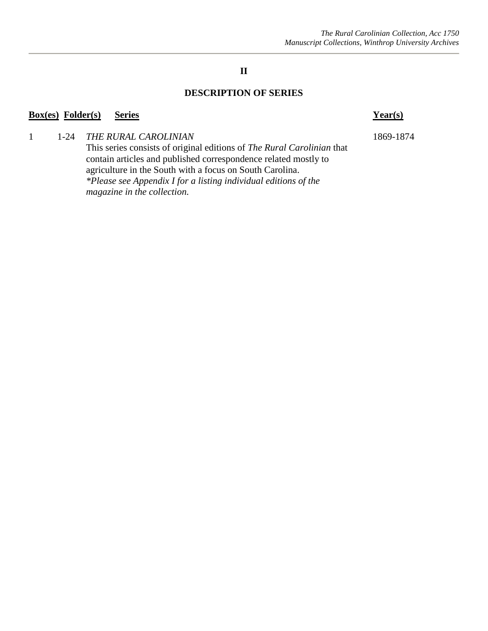## **II**

#### **DESCRIPTION OF SERIES**

#### **Box(es) Folder(s) Series Year(s)**

#### 1 1-24 *THE RURAL CAROLINIAN* 1869-1874

This series consists of original editions of *The Rural Carolinian* that contain articles and published correspondence related mostly to agriculture in the South with a focus on South Carolina. *\*Please see Appendix I for a listing individual editions of the magazine in the collection.*